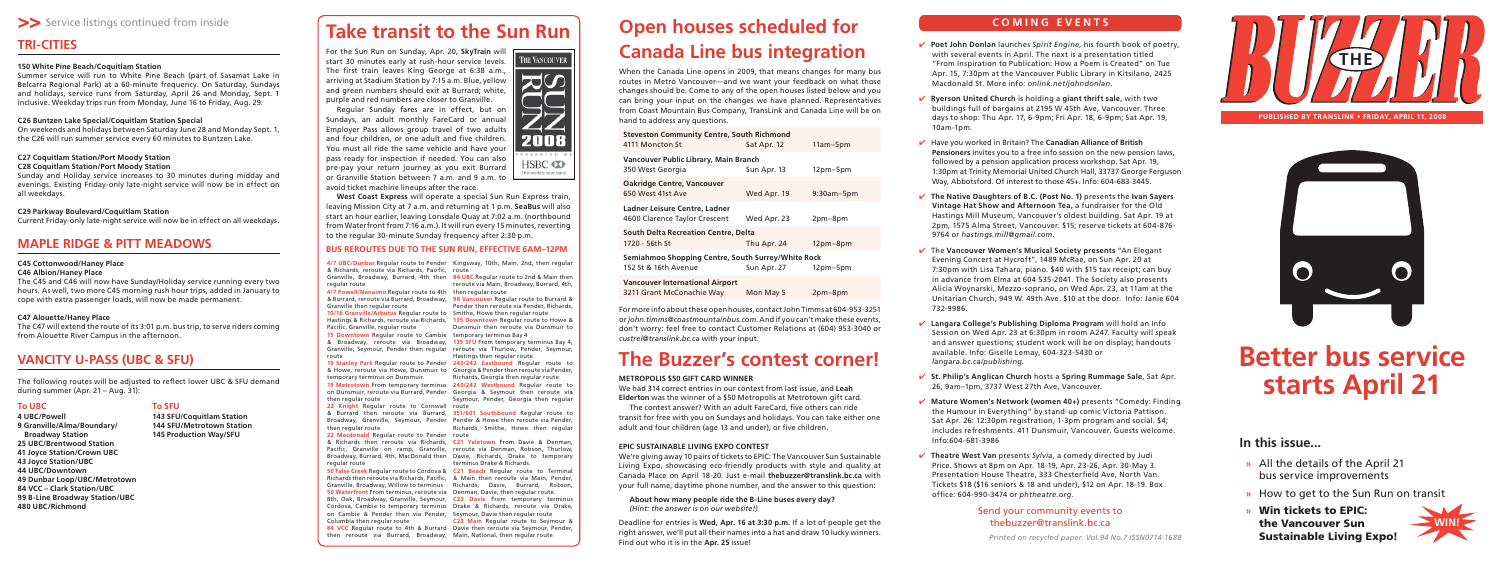*Printed on recycled paper. Vol.94 No.7 ISSN0714-1688*

## **COMING EVENTS**



**PUBLISHED BY TRANSLINK • FRIDAY, APRIL 11, 2008** 



**Poet John Donlan** launches *Spirit Engine,* his fourth book of poetry, ✔with several events in April. The next is a presentation titled "From Inspiration to Publication: How a Poem is Created" on Tue Apr. 15, 7:30pm at the Vancouver Public Library in Kitsilano, 2425 Macdonald St. More info: *onlink.net/johndonlan*.

**Ryerson United Church** is holding a **giant thrift sale**, with two ✔ buildings full of bargains at 2195 W 45th Ave, Vancouver. Three days to shop: Thu Apr. 17, 6-9pm; Fri Apr. 18, 6-9pm; Sat Apr. 19,

Have you worked in Britain? The **Canadian Alliance of British**  ✔**Pensioners** invites you to a free info session on the new pension laws, followed by a pension application process workshop. Sat Apr. 19, 1:30pm at Trinity Memorial United Church Hall, 33737 George Ferguson Way, Abbotsford. Of interest to those 45+. Info: 604-683-3445.

**The Native Daughters of B.C. (Post No. 1)** presents the **Ivan Sayers**  ✔**Vintage Hat Show and Afternoon Tea,** a fundraiser for the Old Hastings Mill Museum, Vancouver's oldest building. Sat Apr. 19 at 2pm, 1575 Alma Street, Vancouver. \$15; reserve tickets at 604-876- 9764 or *hastings.mill@gmail.com*.

The **Vancouver Women's Musical Society presents** "An Elegant ✔ Evening Concert at Hycroft", 1489 McRae, on Sun Apr. 20 at 7:30pm with Lisa Tahara, piano. \$40 with \$15 tax receipt; can buy in advance from Elma at 604 535-2041. The Society also presents Alicia Woynarski, Mezzo-soprano, on Wed Apr. 23, at 11am at the Unitarian Church, 949 W. 49th Ave. \$10 at the door. Info: Janie 604

- 
- 10am-1pm.
- 
- 
- 732-9986.
- 
- 
- Info:604-681-3986
- 



HSBC **ID** The world's local bank

> **Langara College's Publishing Diploma Program** will hold an Info ✔Session on Wed Apr. 23 at 6:30pm in room A247. Faculty will speak and answer questions; student work will be on display; handouts available. Info: Giselle Lemay, 604-323-5430 or *langara.bc.ca/publishing*.

> **St. Philip's Anglican Church** hosts a **Spring Rummage Sale**, Sat Apr. ✔26, 9am–1pm, 3737 West 27th Ave, Vancouver.

**Mature Women's Network (women 40+)** presents "Comedy: Finding ✔ the Humour in Everything" by stand-up comic Victoria Pattison. Sat Apr. 26: 12:30pm registration, 1-3pm program and social. \$4; includes refreshments. 411 Dunsmuir, Vancouver. Guests welcome.

**Theatre West Van** presents *Sylvia*, a comedy directed by Judi ✔Price. Shows at 8pm on Apr. 18-19, Apr. 23-26, Apr. 30-May 3. Presentation House Theatre, 333 Chesterfield Ave, North Van. Tickets \$18 (\$16 seniors & 18 and under), \$12 on Apr. 18-19. Box offi ce: 604-990-3474 or *phtheatre.org*.

## Send your community events to thebuzzer@translink.bc.ca

## **In this issue...**

- All the details of the April 21 **»** bus service improvements
- How to get to the Sun Run on transit **»**
- **Win tickets to EPIC: »the Vancouver Sun Sustainable Living Expo!**



# **The Buzzer's contest corner!**

#### **METROPOLIS \$50 GIFT CARD WINNER**

We had 314 correct entries in our contest from last issue, and **Leah Elderton** was the winner of a \$50 Metropolis at Metrotown gift card.

The contest answer? With an adult FareCard, five others can ride transit for free with you on Sundays and holidays. You can take either one adult and four children (age 13 and under), or five children.

## **EPIC SUSTAINABLE LIVING EXPO CONTEST**

We're giving away 10 pairs of tickets to EPIC: The Vancouver Sun Sustainable Living Expo, showcasing eco-friendly products with style and quality at Canada Place on April 18-20. Just e-mail **thebuzzer@translink.bc.ca** with your full name, daytime phone number, and the answer to this question:

### **About how many people ride the B-Line buses every day?** *(Hint: the answer is on our website!)*

Deadline for entries is **Wed, Apr. 16 at 3:30 p.m.** If a lot of people get the right answer, we'll put all their names into a hat and draw 10 lucky winners. Find out who it is in the **Apr. 25** issue!

# **Better bus service starts April 21**

# **Take transit to the Sun Run**

For the Sun Run on Sunday, Apr. 20, **SkyTrain** will start 30 minutes early at rush-hour service levels. The first train leaves King George at 6:38 a.m., arriving at Stadium Station by 7:15 a.m. Blue, yellow and green numbers should exit at Burrard; white, purple and red numbers are closer to Granville.

Regular Sunday fares are in effect, but on Sundays, an adult monthly FareCard or annual Employer Pass allows group travel of two adults and four children, or one adult and five children. You must all ride the same vehicle and have your pass ready for inspection if needed. You can also pre-pay your return journey as you exit Burrard or Granville Station between 7 a.m. and 9 a.m. to avoid ticket machine lineups after the race.

**West Coast Express** will operate a special Sun Run Express train, leaving Mission City at 7 a.m. and returning at 1 p.m. **SeaBus** will also start an hour earlier, leaving Lonsdale Quay at 7:02 a.m. (northbound from Waterfront from 7:16 a.m.). It will run every 15 minutes, reverting to the regular 30-minute Sunday frequency after 2:30 p.m.

## **BUS REROUTES DUE TO THE SUN RUN, EFFECTIVE 6AM–12PM**

# **Open houses scheduled for Canada Line bus integration**

The following routes will be adjusted to reflect lower UBC & SFU demand during summer (Apr. 21 – Aug. 31):

When the Canada Line opens in 2009, that means changes for many bus routes in Metro Vancouver—and we want your feedback on what those changes should be. Come to any of the open houses listed below and you can bring your input on the changes we have planned. Representatives from Coast Mountain Bus Company, TransLink and Canada Line will be on hand to address any questions.

| <b>Steveston Community Centre, South Richmond</b><br>4111 Moncton St<br>Sat Apr. 12<br>$11am-5pm$     |             |                   |  |  |  |  |
|-------------------------------------------------------------------------------------------------------|-------------|-------------------|--|--|--|--|
| Vancouver Public Library, Main Branch<br>350 West Georgia<br>Sun Apr. 13<br>12pm-5pm                  |             |                   |  |  |  |  |
| <b>Oakridge Centre, Vancouver</b><br>650 West 41st Ave                                                | Wed Apr. 19 | $9:30$ am $-5$ pm |  |  |  |  |
| Ladner Leisure Centre, Ladner<br>4600 Clarence Taylor Crescent                                        | Wed Apr. 23 | 2pm-8pm           |  |  |  |  |
| South Delta Recreation Centre, Delta<br>1720 - 56th St<br>Thu Apr. 24<br>12pm-8pm                     |             |                   |  |  |  |  |
| Semiahmoo Shopping Centre, South Surrey/White Rock<br>152 St & 16th Avenue<br>Sun Apr. 27<br>12pm-5pm |             |                   |  |  |  |  |
| <b>Vancouver International Airport</b><br>3211 Grant McConachie Way                                   | Mon May 5   | 2pm-8pm           |  |  |  |  |
|                                                                                                       |             |                   |  |  |  |  |

For more info about these open houses, contact John Timms at 604-953-3251 or *john.timms@coastmountainbus.com*. And if you can't make these events, don't worry: feel free to contact Customer Relations at (604) 953-3040 or *custrel@translink.bc.ca* with your input.

| 4/7 UBC/Dunbar Regular route to Pender<br>& Richards, reroute via Richards, Pacific, | Kingsway, 10th, Main, 2nd, then regular<br>route |
|--------------------------------------------------------------------------------------|--------------------------------------------------|
| Granville, Broadway, Burrard, 4th then                                               | 84 UBC Regular route to 2nd & Main then          |
| regular route                                                                        | reroute via Main, Broadway, Burrard, 4th,        |
| 4/7 Powell/Nanaimo Regular route to 4th                                              | then regular route                               |
| & Burrard, reroute via Burrard, Broadway,                                            | 98 Vancouver Regular route to Burrard &          |
| Granville then regular route                                                         | Pender then reroute via Pender, Richards,        |
| 10/16 Granville/Arbutus Regular route to                                             | Smithe, Howe then regular route                  |
| Hastings & Richards, reroute via Richards,                                           | 135 Downtown Regular route to Howe &             |
| Pacific, Granville, regular route                                                    | Dunsmuir then reroute via Dunsmuir to            |
| 15 Downtown Regular route to Cambie                                                  | temporary terminus Bay 4                         |
| & Broadway, reroute via Broadway,                                                    | 135 SFU From temporary terminus Bay 4,           |
| Granville, Seymour, Pender then regular                                              | reroute via Thurlow, Pender, Seymour,            |
| route                                                                                | Hastings then regular route                      |
| 19 Stanley Park Regular route to Pender                                              | 240/242 Eastbound Regular route to               |
| & Howe, reroute via Howe, Dunsmuir to                                                | Georgia & Pender then reroute via Pender,        |
| temporary terminus on Dunsmuir.                                                      | Richards, Georgia then regular route             |
| 19 Metrotown From temporary terminus                                                 | 240/242 Westbound Regular route to               |
| on Dunsmuir, reroute via Burrard, Pender                                             | Georgia & Seymour then reroute via               |
| then regular route<br>22 Knight Regular route to Cornwall                            | Seymour, Pender, Georgia then regular<br>route   |
| & Burrard then reroute via Burrard,                                                  | 351/601 Southbound Regular route to              |
| Broadway, Granville, Seymour, Pender                                                 | Pender & Howe then reroute via Pender.           |
| then regular route                                                                   | Richards, Smithe, Howe then regular              |
| 22 Macdonald Regular route to Pender                                                 | route                                            |
| & Richards then reroute via Richards.                                                | C21 Yaletown From Davie & Denman,                |
| Pacific, Granville on ramp, Granville,                                               | reroute via Denman, Robson, Thurlow,             |
| Broadway, Burrard, 4th, MacDonald then                                               | Davie, Richards, Drake to temporary              |
| regular route                                                                        | terminus Drake & Richards.                       |
| 50 False Creek Regular route to Cordova &                                            | C21 Beach Regular route to Terminal              |
| Richards then reroute via Richards, Pacific,                                         | & Main then reroute via Main, Pender,            |
| Granville, Broadway, Willow to terminus                                              | Davie. Burrard.<br>Richards,<br>Robson.          |
| 50 Waterfront From terminus, reroute via                                             | Denman, Davie, then regular route.               |
| 8th, Oak, Broadway, Granville, Seymour,                                              | C23 Davie From temporary terminus                |
| Cordova, Cambie to temporary terminus                                                | Drake & Richards, reroute via Drake,             |
| on Cambie & Pender then via Pender.                                                  | Seymour, Davie then regular route                |
| Columbia then regular route                                                          | C23 Main Regular route to Seymour &              |



## **>>** Service listings continued from inside

## **TRI-CITIES**

#### **150 White Pine Beach/Coquitlam Station**

Summer service will run to White Pine Beach (part of Sasamat Lake in Belcarra Regional Park) at a 60-minute frequency. On Saturday, Sundays and holidays, service runs from Saturday, April 26 and Monday, Sept. 1 inclusive. Weekday trips run from Monday, June 16 to Friday, Aug. 29.

#### **C26 Buntzen Lake Special/Coquitlam Station Special**

On weekends and holidays between Saturday June 28 and Monday Sept. 1, the C26 will run summer service every 60 minutes to Buntzen Lake.

### **C27 Coquitlam Station/Port Moody Station**

#### **C28 Coquitlam Station/Port Moody Station**

Sunday and Holiday service increases to 30 minutes during midday and evenings. Existing Friday-only late-night service will now be in effect on all weekdays.

#### **C29 Parkway Boulevard/Coquitlam Station**

Current Friday-only late-night service will now be in effect on all weekdays.

## **MAPLE RIDGE & PITT MEADOWS**

## **C45 Cottonwood/Haney Place**

#### **C46 Albion/Haney Place**

The C45 and C46 will now have Sunday/Holiday service running every two hours. As well, two more C45 morning rush hour trips, added in January to cope with extra passenger loads, will now be made permanent.

#### **C47 Alouette/Haney Place**

The C47 will extend the route of its 3:01 p.m. bus trip, to serve riders coming from Alouette River Campus in the afternoon.

## **VANCITY U-PASS (UBC & SFU)**

#### **To UBC**

## **To SFU**

**4 UBC/Powell 9 Granville/Alma/Boundary/ Broadway Station 25 UBC/Brentwood Station41 Joyce Station/Crown UBC 43 Joyce Station/UBC 44 UBC/Downtown 49 Dunbar Loop/UBC/Metrotown 84 VCC – Clark Station/UBC99 B-Line Broadway Station/UBC 480 UBC/Richmond**

**143 SFU/Coquitlam Station 144 SFU/Metrotown Station145 Production Way/SFU**